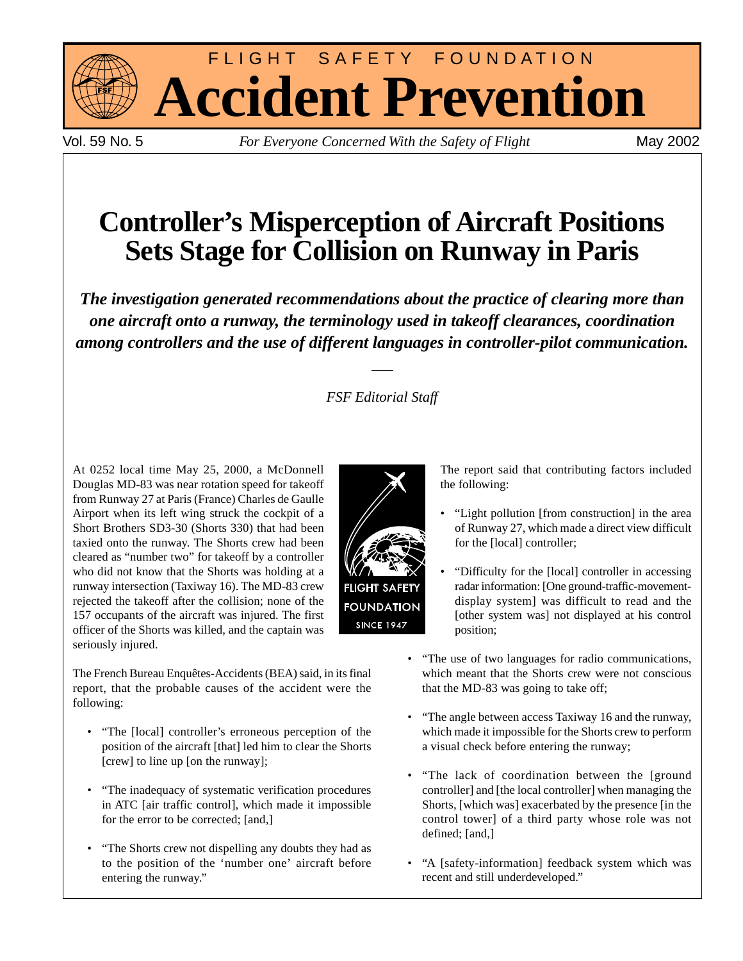

FLIGHT SAFETY FOUNDATION **Accident Prevention**

Vol. 59 No. 5 *For Everyone Concerned With the Safety of Flight* May 2002

# **Controller's Misperception of Aircraft Positions Sets Stage for Collision on Runway in Paris**

*The investigation generated recommendations about the practice of clearing more than one aircraft onto a runway, the terminology used in takeoff clearances, coordination among controllers and the use of different languages in controller-pilot communication.*

# *FSF Editorial Staff*

At 0252 local time May 25, 2000, a McDonnell Douglas MD-83 was near rotation speed for takeoff from Runway 27 at Paris (France) Charles de Gaulle Airport when its left wing struck the cockpit of a Short Brothers SD3-30 (Shorts 330) that had been taxied onto the runway. The Shorts crew had been cleared as "number two" for takeoff by a controller who did not know that the Shorts was holding at a runway intersection (Taxiway 16). The MD-83 crew rejected the takeoff after the collision; none of the 157 occupants of the aircraft was injured. The first officer of the Shorts was killed, and the captain was seriously injured.

The French Bureau Enquêtes-Accidents (BEA) said, in its final report, that the probable causes of the accident were the following:

- "The [local] controller's erroneous perception of the position of the aircraft [that] led him to clear the Shorts [crew] to line up [on the runway];
- "The inadequacy of systematic verification procedures in ATC [air traffic control], which made it impossible for the error to be corrected; [and,]
- "The Shorts crew not dispelling any doubts they had as to the position of the 'number one' aircraft before entering the runway."



The report said that contributing factors included the following:

- "Light pollution [from construction] in the area of Runway 27, which made a direct view difficult for the [local] controller;
- "Difficulty for the [local] controller in accessing radar information: [One ground-traffic-movementdisplay system] was difficult to read and the [other system was] not displayed at his control position;
- "The use of two languages for radio communications, which meant that the Shorts crew were not conscious that the MD-83 was going to take off;
- "The angle between access Taxiway 16 and the runway, which made it impossible for the Shorts crew to perform a visual check before entering the runway;
- "The lack of coordination between the [ground controller] and [the local controller] when managing the Shorts, [which was] exacerbated by the presence [in the control tower] of a third party whose role was not defined; [and,]
- "A [safety-information] feedback system which was recent and still underdeveloped."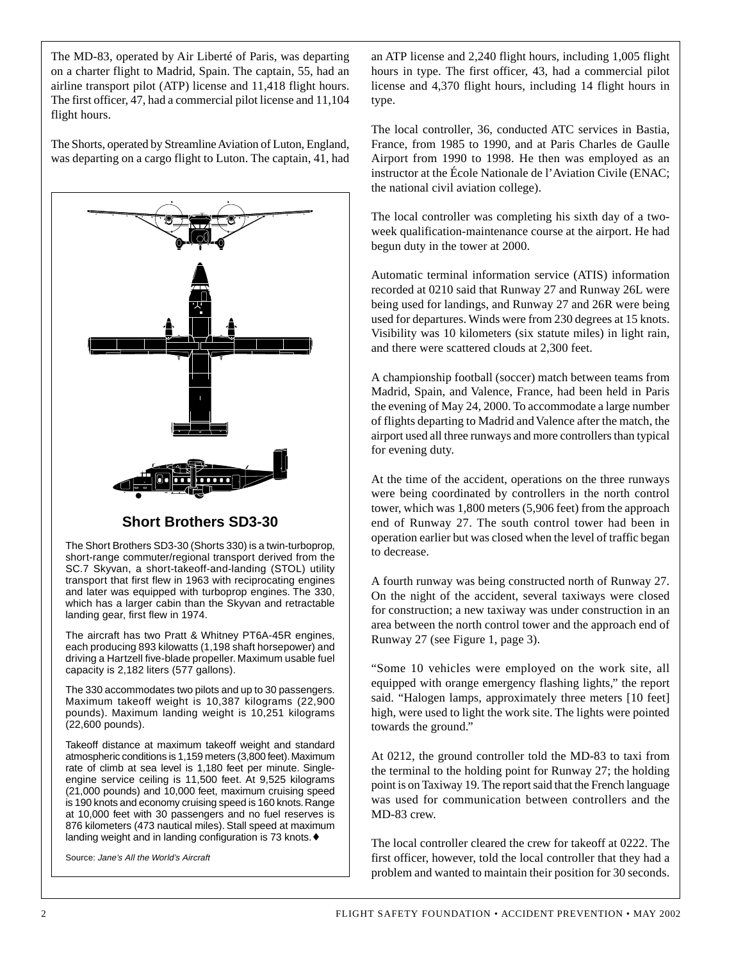The MD-83, operated by Air Liberté of Paris, was departing on a charter flight to Madrid, Spain. The captain, 55, had an airline transport pilot (ATP) license and 11,418 flight hours. The first officer, 47, had a commercial pilot license and 11,104 flight hours.

The Shorts, operated by Streamline Aviation of Luton, England, was departing on a cargo flight to Luton. The captain, 41, had



## **Short Brothers SD3-30**

The Short Brothers SD3-30 (Shorts 330) is a twin-turboprop, short-range commuter/regional transport derived from the SC.7 Skyvan, a short-takeoff-and-landing (STOL) utility transport that first flew in 1963 with reciprocating engines and later was equipped with turboprop engines. The 330, which has a larger cabin than the Skyvan and retractable landing gear, first flew in 1974.

The aircraft has two Pratt & Whitney PT6A-45R engines, each producing 893 kilowatts (1,198 shaft horsepower) and driving a Hartzell five-blade propeller. Maximum usable fuel capacity is 2,182 liters (577 gallons).

The 330 accommodates two pilots and up to 30 passengers. Maximum takeoff weight is 10,387 kilograms (22,900 pounds). Maximum landing weight is 10,251 kilograms (22,600 pounds).

Takeoff distance at maximum takeoff weight and standard atmospheric conditions is 1,159 meters (3,800 feet). Maximum rate of climb at sea level is 1,180 feet per minute. Singleengine service ceiling is 11,500 feet. At 9,525 kilograms (21,000 pounds) and 10,000 feet, maximum cruising speed is 190 knots and economy cruising speed is 160 knots. Range at 10,000 feet with 30 passengers and no fuel reserves is 876 kilometers (473 nautical miles). Stall speed at maximum landing weight and in landing configuration is 73 knots.♦

Source: Jane's All the World's Aircraft

an ATP license and 2,240 flight hours, including 1,005 flight hours in type. The first officer, 43, had a commercial pilot license and 4,370 flight hours, including 14 flight hours in type.

The local controller, 36, conducted ATC services in Bastia, France, from 1985 to 1990, and at Paris Charles de Gaulle Airport from 1990 to 1998. He then was employed as an instructor at the École Nationale de l'Aviation Civile (ENAC; the national civil aviation college).

The local controller was completing his sixth day of a twoweek qualification-maintenance course at the airport. He had begun duty in the tower at 2000.

Automatic terminal information service (ATIS) information recorded at 0210 said that Runway 27 and Runway 26L were being used for landings, and Runway 27 and 26R were being used for departures. Winds were from 230 degrees at 15 knots. Visibility was 10 kilometers (six statute miles) in light rain, and there were scattered clouds at 2,300 feet.

A championship football (soccer) match between teams from Madrid, Spain, and Valence, France, had been held in Paris the evening of May 24, 2000. To accommodate a large number of flights departing to Madrid and Valence after the match, the airport used all three runways and more controllers than typical for evening duty.

At the time of the accident, operations on the three runways were being coordinated by controllers in the north control tower, which was 1,800 meters (5,906 feet) from the approach end of Runway 27. The south control tower had been in operation earlier but was closed when the level of traffic began to decrease.

A fourth runway was being constructed north of Runway 27. On the night of the accident, several taxiways were closed for construction; a new taxiway was under construction in an area between the north control tower and the approach end of Runway 27 (see Figure 1, page 3).

"Some 10 vehicles were employed on the work site, all equipped with orange emergency flashing lights," the report said. "Halogen lamps, approximately three meters [10 feet] high, were used to light the work site. The lights were pointed towards the ground."

At 0212, the ground controller told the MD-83 to taxi from the terminal to the holding point for Runway 27; the holding point is on Taxiway 19. The report said that the French language was used for communication between controllers and the MD-83 crew.

The local controller cleared the crew for takeoff at 0222. The first officer, however, told the local controller that they had a problem and wanted to maintain their position for 30 seconds.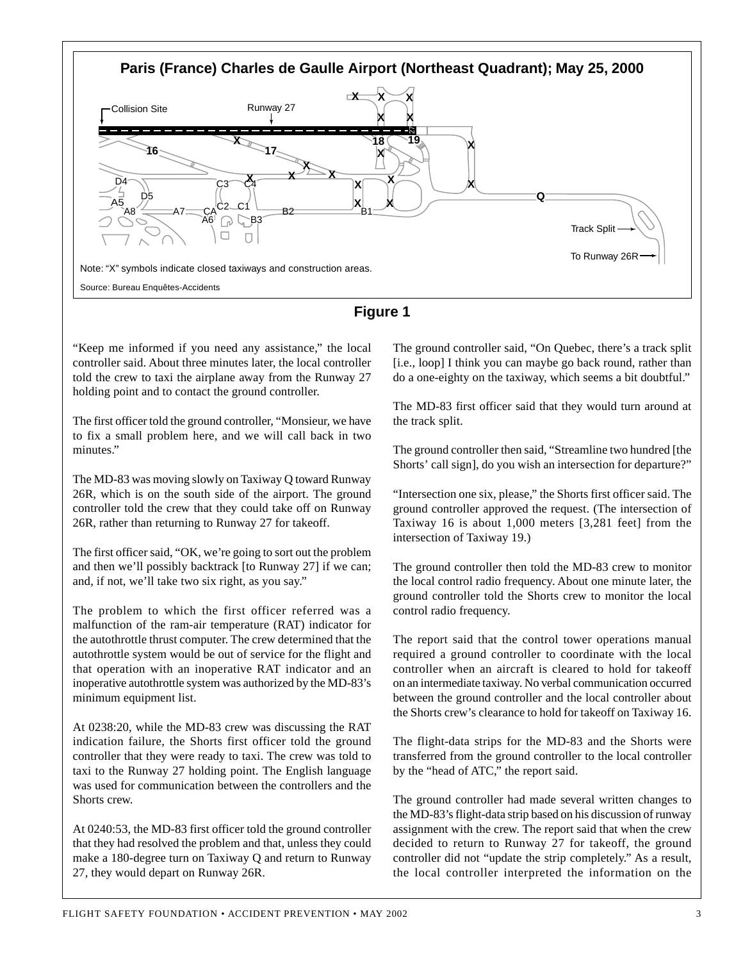



"Keep me informed if you need any assistance," the local controller said. About three minutes later, the local controller told the crew to taxi the airplane away from the Runway 27 holding point and to contact the ground controller.

The first officer told the ground controller, "Monsieur, we have to fix a small problem here, and we will call back in two minutes."

The MD-83 was moving slowly on Taxiway Q toward Runway 26R, which is on the south side of the airport. The ground controller told the crew that they could take off on Runway 26R, rather than returning to Runway 27 for takeoff.

The first officer said, "OK, we're going to sort out the problem and then we'll possibly backtrack [to Runway 27] if we can; and, if not, we'll take two six right, as you say."

The problem to which the first officer referred was a malfunction of the ram-air temperature (RAT) indicator for the autothrottle thrust computer. The crew determined that the autothrottle system would be out of service for the flight and that operation with an inoperative RAT indicator and an inoperative autothrottle system was authorized by the MD-83's minimum equipment list.

At 0238:20, while the MD-83 crew was discussing the RAT indication failure, the Shorts first officer told the ground controller that they were ready to taxi. The crew was told to taxi to the Runway 27 holding point. The English language was used for communication between the controllers and the Shorts crew.

At 0240:53, the MD-83 first officer told the ground controller that they had resolved the problem and that, unless they could make a 180-degree turn on Taxiway Q and return to Runway 27, they would depart on Runway 26R.

The ground controller said, "On Quebec, there's a track split [i.e., loop] I think you can maybe go back round, rather than do a one-eighty on the taxiway, which seems a bit doubtful."

The MD-83 first officer said that they would turn around at the track split.

The ground controller then said, "Streamline two hundred [the Shorts' call sign], do you wish an intersection for departure?"

"Intersection one six, please," the Shorts first officer said. The ground controller approved the request. (The intersection of Taxiway 16 is about 1,000 meters [3,281 feet] from the intersection of Taxiway 19.)

The ground controller then told the MD-83 crew to monitor the local control radio frequency. About one minute later, the ground controller told the Shorts crew to monitor the local control radio frequency.

The report said that the control tower operations manual required a ground controller to coordinate with the local controller when an aircraft is cleared to hold for takeoff on an intermediate taxiway. No verbal communication occurred between the ground controller and the local controller about the Shorts crew's clearance to hold for takeoff on Taxiway 16.

The flight-data strips for the MD-83 and the Shorts were transferred from the ground controller to the local controller by the "head of ATC," the report said.

The ground controller had made several written changes to the MD-83's flight-data strip based on his discussion of runway assignment with the crew. The report said that when the crew decided to return to Runway 27 for takeoff, the ground controller did not "update the strip completely." As a result, the local controller interpreted the information on the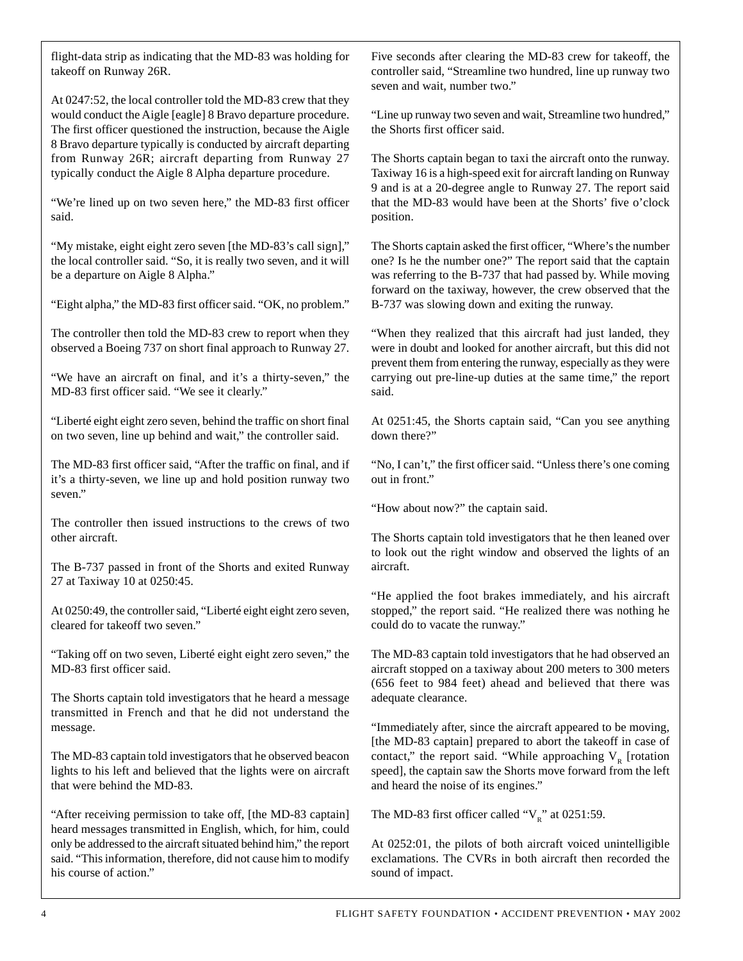flight-data strip as indicating that the MD-83 was holding for takeoff on Runway 26R.

At 0247:52, the local controller told the MD-83 crew that they would conduct the Aigle [eagle] 8 Bravo departure procedure. The first officer questioned the instruction, because the Aigle 8 Bravo departure typically is conducted by aircraft departing from Runway 26R; aircraft departing from Runway 27 typically conduct the Aigle 8 Alpha departure procedure.

"We're lined up on two seven here," the MD-83 first officer said.

"My mistake, eight eight zero seven [the MD-83's call sign]," the local controller said. "So, it is really two seven, and it will be a departure on Aigle 8 Alpha."

"Eight alpha," the MD-83 first officer said. "OK, no problem."

The controller then told the MD-83 crew to report when they observed a Boeing 737 on short final approach to Runway 27.

"We have an aircraft on final, and it's a thirty-seven," the MD-83 first officer said. "We see it clearly."

"Liberté eight eight zero seven, behind the traffic on short final on two seven, line up behind and wait," the controller said.

The MD-83 first officer said, "After the traffic on final, and if it's a thirty-seven, we line up and hold position runway two seven."

The controller then issued instructions to the crews of two other aircraft.

The B-737 passed in front of the Shorts and exited Runway 27 at Taxiway 10 at 0250:45.

At 0250:49, the controller said, "Liberté eight eight zero seven, cleared for takeoff two seven."

"Taking off on two seven, Liberté eight eight zero seven," the MD-83 first officer said.

The Shorts captain told investigators that he heard a message transmitted in French and that he did not understand the message.

The MD-83 captain told investigators that he observed beacon lights to his left and believed that the lights were on aircraft that were behind the MD-83.

"After receiving permission to take off, [the MD-83 captain] heard messages transmitted in English, which, for him, could only be addressed to the aircraft situated behind him," the report said. "This information, therefore, did not cause him to modify his course of action."

Five seconds after clearing the MD-83 crew for takeoff, the controller said, "Streamline two hundred, line up runway two seven and wait, number two."

"Line up runway two seven and wait, Streamline two hundred," the Shorts first officer said.

The Shorts captain began to taxi the aircraft onto the runway. Taxiway 16 is a high-speed exit for aircraft landing on Runway 9 and is at a 20-degree angle to Runway 27. The report said that the MD-83 would have been at the Shorts' five o'clock position.

The Shorts captain asked the first officer, "Where's the number one? Is he the number one?" The report said that the captain was referring to the B-737 that had passed by. While moving forward on the taxiway, however, the crew observed that the B-737 was slowing down and exiting the runway.

"When they realized that this aircraft had just landed, they were in doubt and looked for another aircraft, but this did not prevent them from entering the runway, especially as they were carrying out pre-line-up duties at the same time," the report said.

At 0251:45, the Shorts captain said, "Can you see anything down there?"

"No, I can't," the first officer said. "Unless there's one coming out in front."

"How about now?" the captain said.

The Shorts captain told investigators that he then leaned over to look out the right window and observed the lights of an aircraft.

"He applied the foot brakes immediately, and his aircraft stopped," the report said. "He realized there was nothing he could do to vacate the runway."

The MD-83 captain told investigators that he had observed an aircraft stopped on a taxiway about 200 meters to 300 meters (656 feet to 984 feet) ahead and believed that there was adequate clearance.

"Immediately after, since the aircraft appeared to be moving, [the MD-83 captain] prepared to abort the takeoff in case of contact," the report said. "While approaching  $V<sub>p</sub>$  [rotation speed], the captain saw the Shorts move forward from the left and heard the noise of its engines."

The MD-83 first officer called " $V_R$ " at 0251:59.

At 0252:01, the pilots of both aircraft voiced unintelligible exclamations. The CVRs in both aircraft then recorded the sound of impact.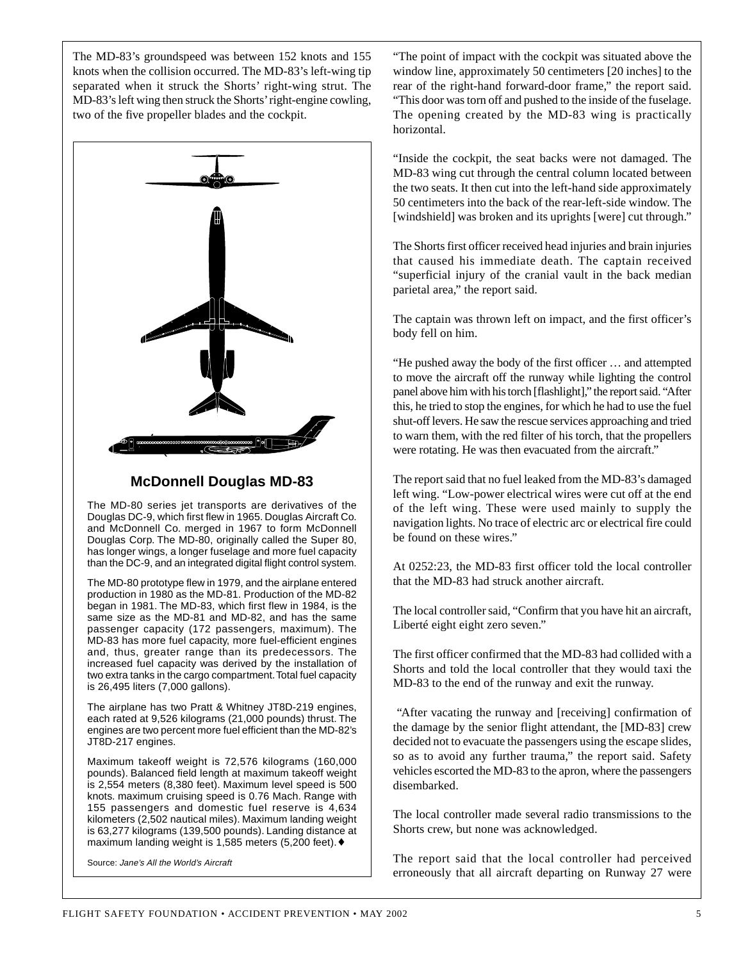The MD-83's groundspeed was between 152 knots and 155 knots when the collision occurred. The MD-83's left-wing tip separated when it struck the Shorts' right-wing strut. The MD-83's left wing then struck the Shorts' right-engine cowling, two of the five propeller blades and the cockpit.



### **McDonnell Douglas MD-83**

The MD-80 series jet transports are derivatives of the Douglas DC-9, which first flew in 1965. Douglas Aircraft Co. and McDonnell Co. merged in 1967 to form McDonnell Douglas Corp. The MD-80, originally called the Super 80, has longer wings, a longer fuselage and more fuel capacity than the DC-9, and an integrated digital flight control system.

The MD-80 prototype flew in 1979, and the airplane entered production in 1980 as the MD-81. Production of the MD-82 began in 1981. The MD-83, which first flew in 1984, is the same size as the MD-81 and MD-82, and has the same passenger capacity (172 passengers, maximum). The MD-83 has more fuel capacity, more fuel-efficient engines and, thus, greater range than its predecessors. The increased fuel capacity was derived by the installation of two extra tanks in the cargo compartment. Total fuel capacity is 26,495 liters (7,000 gallons).

The airplane has two Pratt & Whitney JT8D-219 engines, each rated at 9,526 kilograms (21,000 pounds) thrust. The engines are two percent more fuel efficient than the MD-82's JT8D-217 engines.

Maximum takeoff weight is 72,576 kilograms (160,000 pounds). Balanced field length at maximum takeoff weight is 2,554 meters (8,380 feet). Maximum level speed is 500 knots. maximum cruising speed is 0.76 Mach. Range with 155 passengers and domestic fuel reserve is 4,634 kilometers (2,502 nautical miles). Maximum landing weight is 63,277 kilograms (139,500 pounds). Landing distance at maximum landing weight is 1,585 meters (5,200 feet).♦

Source: Jane's All the World's Aircraft

"The point of impact with the cockpit was situated above the window line, approximately 50 centimeters [20 inches] to the rear of the right-hand forward-door frame," the report said. "This door was torn off and pushed to the inside of the fuselage. The opening created by the MD-83 wing is practically horizontal.

"Inside the cockpit, the seat backs were not damaged. The MD-83 wing cut through the central column located between the two seats. It then cut into the left-hand side approximately 50 centimeters into the back of the rear-left-side window. The [windshield] was broken and its uprights [were] cut through."

The Shorts first officer received head injuries and brain injuries that caused his immediate death. The captain received "superficial injury of the cranial vault in the back median parietal area," the report said.

The captain was thrown left on impact, and the first officer's body fell on him.

"He pushed away the body of the first officer … and attempted to move the aircraft off the runway while lighting the control panel above him with his torch [flashlight]," the report said. "After this, he tried to stop the engines, for which he had to use the fuel shut-off levers. He saw the rescue services approaching and tried to warn them, with the red filter of his torch, that the propellers were rotating. He was then evacuated from the aircraft."

The report said that no fuel leaked from the MD-83's damaged left wing. "Low-power electrical wires were cut off at the end of the left wing. These were used mainly to supply the navigation lights. No trace of electric arc or electrical fire could be found on these wires."

At 0252:23, the MD-83 first officer told the local controller that the MD-83 had struck another aircraft.

The local controller said, "Confirm that you have hit an aircraft, Liberté eight eight zero seven."

The first officer confirmed that the MD-83 had collided with a Shorts and told the local controller that they would taxi the MD-83 to the end of the runway and exit the runway.

"After vacating the runway and [receiving] confirmation of the damage by the senior flight attendant, the [MD-83] crew decided not to evacuate the passengers using the escape slides, so as to avoid any further trauma," the report said. Safety vehicles escorted the MD-83 to the apron, where the passengers disembarked.

The local controller made several radio transmissions to the Shorts crew, but none was acknowledged.

The report said that the local controller had perceived erroneously that all aircraft departing on Runway 27 were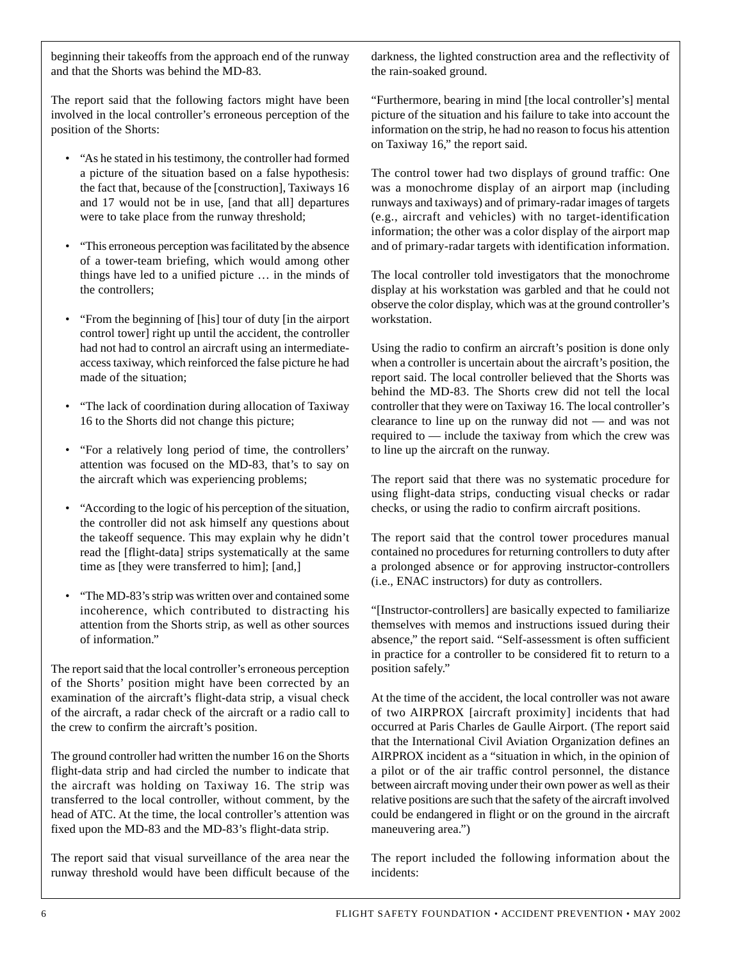beginning their takeoffs from the approach end of the runway and that the Shorts was behind the MD-83.

The report said that the following factors might have been involved in the local controller's erroneous perception of the position of the Shorts:

- "As he stated in his testimony, the controller had formed a picture of the situation based on a false hypothesis: the fact that, because of the [construction], Taxiways 16 and 17 would not be in use, [and that all] departures were to take place from the runway threshold;
- "This erroneous perception was facilitated by the absence of a tower-team briefing, which would among other things have led to a unified picture … in the minds of the controllers;
- "From the beginning of [his] tour of duty [in the airport control tower] right up until the accident, the controller had not had to control an aircraft using an intermediateaccess taxiway, which reinforced the false picture he had made of the situation;
- "The lack of coordination during allocation of Taxiway 16 to the Shorts did not change this picture;
- "For a relatively long period of time, the controllers' attention was focused on the MD-83, that's to say on the aircraft which was experiencing problems;
- "According to the logic of his perception of the situation, the controller did not ask himself any questions about the takeoff sequence. This may explain why he didn't read the [flight-data] strips systematically at the same time as [they were transferred to him]; [and,]
- "The MD-83's strip was written over and contained some incoherence, which contributed to distracting his attention from the Shorts strip, as well as other sources of information."

The report said that the local controller's erroneous perception of the Shorts' position might have been corrected by an examination of the aircraft's flight-data strip, a visual check of the aircraft, a radar check of the aircraft or a radio call to the crew to confirm the aircraft's position.

The ground controller had written the number 16 on the Shorts flight-data strip and had circled the number to indicate that the aircraft was holding on Taxiway 16. The strip was transferred to the local controller, without comment, by the head of ATC. At the time, the local controller's attention was fixed upon the MD-83 and the MD-83's flight-data strip.

The report said that visual surveillance of the area near the runway threshold would have been difficult because of the darkness, the lighted construction area and the reflectivity of the rain-soaked ground.

"Furthermore, bearing in mind [the local controller's] mental picture of the situation and his failure to take into account the information on the strip, he had no reason to focus his attention on Taxiway 16," the report said.

The control tower had two displays of ground traffic: One was a monochrome display of an airport map (including runways and taxiways) and of primary-radar images of targets (e.g., aircraft and vehicles) with no target-identification information; the other was a color display of the airport map and of primary-radar targets with identification information.

The local controller told investigators that the monochrome display at his workstation was garbled and that he could not observe the color display, which was at the ground controller's workstation.

Using the radio to confirm an aircraft's position is done only when a controller is uncertain about the aircraft's position, the report said. The local controller believed that the Shorts was behind the MD-83. The Shorts crew did not tell the local controller that they were on Taxiway 16. The local controller's clearance to line up on the runway did not — and was not required to — include the taxiway from which the crew was to line up the aircraft on the runway.

The report said that there was no systematic procedure for using flight-data strips, conducting visual checks or radar checks, or using the radio to confirm aircraft positions.

The report said that the control tower procedures manual contained no procedures for returning controllers to duty after a prolonged absence or for approving instructor-controllers (i.e., ENAC instructors) for duty as controllers.

"[Instructor-controllers] are basically expected to familiarize themselves with memos and instructions issued during their absence," the report said. "Self-assessment is often sufficient in practice for a controller to be considered fit to return to a position safely."

At the time of the accident, the local controller was not aware of two AIRPROX [aircraft proximity] incidents that had occurred at Paris Charles de Gaulle Airport. (The report said that the International Civil Aviation Organization defines an AIRPROX incident as a "situation in which, in the opinion of a pilot or of the air traffic control personnel, the distance between aircraft moving under their own power as well as their relative positions are such that the safety of the aircraft involved could be endangered in flight or on the ground in the aircraft maneuvering area.")

The report included the following information about the incidents: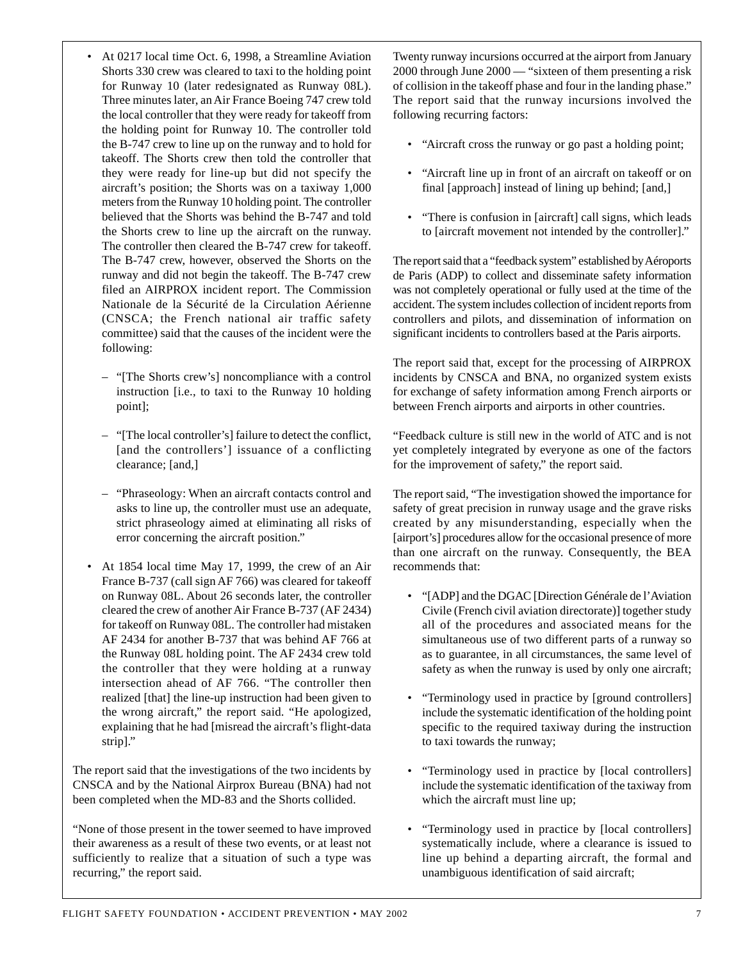- At 0217 local time Oct. 6, 1998, a Streamline Aviation Shorts 330 crew was cleared to taxi to the holding point for Runway 10 (later redesignated as Runway 08L). Three minutes later, an Air France Boeing 747 crew told the local controller that they were ready for takeoff from the holding point for Runway 10. The controller told the B-747 crew to line up on the runway and to hold for takeoff. The Shorts crew then told the controller that they were ready for line-up but did not specify the aircraft's position; the Shorts was on a taxiway 1,000 meters from the Runway 10 holding point. The controller believed that the Shorts was behind the B-747 and told the Shorts crew to line up the aircraft on the runway. The controller then cleared the B-747 crew for takeoff. The B-747 crew, however, observed the Shorts on the runway and did not begin the takeoff. The B-747 crew filed an AIRPROX incident report. The Commission Nationale de la Sécurité de la Circulation Aérienne (CNSCA; the French national air traffic safety committee) said that the causes of the incident were the following:
	- "[The Shorts crew's] noncompliance with a control instruction [i.e., to taxi to the Runway 10 holding point];
	- "[The local controller's] failure to detect the conflict, [and the controllers'] issuance of a conflicting clearance; [and,]
	- "Phraseology: When an aircraft contacts control and asks to line up, the controller must use an adequate, strict phraseology aimed at eliminating all risks of error concerning the aircraft position."
- At 1854 local time May 17, 1999, the crew of an Air France B-737 (call sign AF 766) was cleared for takeoff on Runway 08L. About 26 seconds later, the controller cleared the crew of another Air France B-737 (AF 2434) for takeoff on Runway 08L. The controller had mistaken AF 2434 for another B-737 that was behind AF 766 at the Runway 08L holding point. The AF 2434 crew told the controller that they were holding at a runway intersection ahead of AF 766. "The controller then realized [that] the line-up instruction had been given to the wrong aircraft," the report said. "He apologized, explaining that he had [misread the aircraft's flight-data strip]."

The report said that the investigations of the two incidents by CNSCA and by the National Airprox Bureau (BNA) had not been completed when the MD-83 and the Shorts collided.

"None of those present in the tower seemed to have improved their awareness as a result of these two events, or at least not sufficiently to realize that a situation of such a type was recurring," the report said.

Twenty runway incursions occurred at the airport from January 2000 through June 2000 — "sixteen of them presenting a risk of collision in the takeoff phase and four in the landing phase." The report said that the runway incursions involved the following recurring factors:

- "Aircraft cross the runway or go past a holding point;
- "Aircraft line up in front of an aircraft on takeoff or on final [approach] instead of lining up behind; [and,]
- "There is confusion in [aircraft] call signs, which leads to [aircraft movement not intended by the controller]."

The report said that a "feedback system" established by Aéroports de Paris (ADP) to collect and disseminate safety information was not completely operational or fully used at the time of the accident. The system includes collection of incident reports from controllers and pilots, and dissemination of information on significant incidents to controllers based at the Paris airports.

The report said that, except for the processing of AIRPROX incidents by CNSCA and BNA, no organized system exists for exchange of safety information among French airports or between French airports and airports in other countries.

"Feedback culture is still new in the world of ATC and is not yet completely integrated by everyone as one of the factors for the improvement of safety," the report said.

The report said, "The investigation showed the importance for safety of great precision in runway usage and the grave risks created by any misunderstanding, especially when the [airport's] procedures allow for the occasional presence of more than one aircraft on the runway. Consequently, the BEA recommends that:

- "[ADP] and the DGAC [Direction Générale de l'Aviation Civile (French civil aviation directorate)] together study all of the procedures and associated means for the simultaneous use of two different parts of a runway so as to guarantee, in all circumstances, the same level of safety as when the runway is used by only one aircraft;
- "Terminology used in practice by [ground controllers] include the systematic identification of the holding point specific to the required taxiway during the instruction to taxi towards the runway;
- "Terminology used in practice by [local controllers] include the systematic identification of the taxiway from which the aircraft must line up;
- "Terminology used in practice by [local controllers] systematically include, where a clearance is issued to line up behind a departing aircraft, the formal and unambiguous identification of said aircraft;